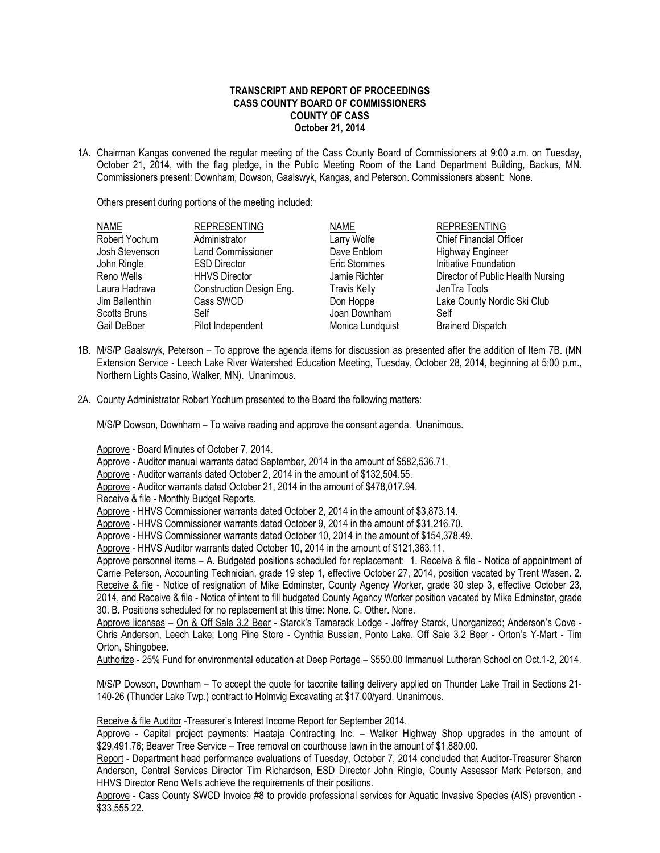## **TRANSCRIPT AND REPORT OF PROCEEDINGS CASS COUNTY BOARD OF COMMISSIONERS COUNTY OF CASS October 21, 2014**

1A. Chairman Kangas convened the regular meeting of the Cass County Board of Commissioners at 9:00 a.m. on Tuesday, October 21, 2014, with the flag pledge, in the Public Meeting Room of the Land Department Building, Backus, MN. Commissioners present: Downham, Dowson, Gaalswyk, Kangas, and Peterson. Commissioners absent: None.

Others present during portions of the meeting included:

| <b>NAME</b>         | <b>REPRESENTING</b>      | <b>NAME</b>         | <b>REPRESENTING</b>               |
|---------------------|--------------------------|---------------------|-----------------------------------|
| Robert Yochum       | Administrator            | Larry Wolfe         | <b>Chief Financial Officer</b>    |
| Josh Stevenson      | <b>Land Commissioner</b> | Dave Enblom         | <b>Highway Engineer</b>           |
| John Ringle         | <b>ESD Director</b>      | Eric Stommes        | Initiative Foundation             |
| Reno Wells          | <b>HHVS Director</b>     | Jamie Richter       | Director of Public Health Nursing |
| Laura Hadrava       | Construction Design Eng. | <b>Travis Kelly</b> | JenTra Tools                      |
| Jim Ballenthin      | Cass SWCD                | Don Hoppe           | Lake County Nordic Ski Club       |
| <b>Scotts Bruns</b> | Self                     | Joan Downham        | Self                              |
| Gail DeBoer         | Pilot Independent        | Monica Lundquist    | <b>Brainerd Dispatch</b>          |

- 1B. M/S/P Gaalswyk, Peterson To approve the agenda items for discussion as presented after the addition of Item 7B. (MN Extension Service - Leech Lake River Watershed Education Meeting, Tuesday, October 28, 2014, beginning at 5:00 p.m., Northern Lights Casino, Walker, MN). Unanimous.
- 2A. County Administrator Robert Yochum presented to the Board the following matters:

M/S/P Dowson, Downham – To waive reading and approve the consent agenda. Unanimous.

Approve - Board Minutes of October 7, 2014.

Approve - Auditor manual warrants dated September, 2014 in the amount of \$582,536.71.

Approve - Auditor warrants dated October 2, 2014 in the amount of \$132,504.55.

Approve - Auditor warrants dated October 21, 2014 in the amount of \$478,017.94.

Receive & file - Monthly Budget Reports.

Approve - HHVS Commissioner warrants dated October 2, 2014 in the amount of \$3,873.14.

Approve - HHVS Commissioner warrants dated October 9, 2014 in the amount of \$31,216.70.

Approve - HHVS Commissioner warrants dated October 10, 2014 in the amount of \$154,378.49.

Approve - HHVS Auditor warrants dated October 10, 2014 in the amount of \$121,363.11.

Approve personnel items - A. Budgeted positions scheduled for replacement: 1. Receive & file - Notice of appointment of Carrie Peterson, Accounting Technician, grade 19 step 1, effective October 27, 2014, position vacated by Trent Wasen. 2. Receive & file - Notice of resignation of Mike Edminster, County Agency Worker, grade 30 step 3, effective October 23, 2014, and Receive & file - Notice of intent to fill budgeted County Agency Worker position vacated by Mike Edminster, grade 30. B. Positions scheduled for no replacement at this time: None. C. Other. None.

Approve licenses – On & Off Sale 3.2 Beer - Starck's Tamarack Lodge - Jeffrey Starck, Unorganized; Anderson's Cove - Chris Anderson, Leech Lake; Long Pine Store - Cynthia Bussian, Ponto Lake. Off Sale 3.2 Beer - Orton's Y-Mart - Tim Orton, Shingobee.

Authorize - 25% Fund for environmental education at Deep Portage – \$550.00 Immanuel Lutheran School on Oct.1-2, 2014.

M/S/P Dowson, Downham – To accept the quote for taconite tailing delivery applied on Thunder Lake Trail in Sections 21- 140-26 (Thunder Lake Twp.) contract to Holmvig Excavating at \$17.00/yard. Unanimous.

Receive & file Auditor -Treasurer's Interest Income Report for September 2014.

Approve - Capital project payments: Haataja Contracting Inc. – Walker Highway Shop upgrades in the amount of \$29,491.76; Beaver Tree Service – Tree removal on courthouse lawn in the amount of \$1,880.00.

Report - Department head performance evaluations of Tuesday, October 7, 2014 concluded that Auditor-Treasurer Sharon Anderson, Central Services Director Tim Richardson, ESD Director John Ringle, County Assessor Mark Peterson, and HHVS Director Reno Wells achieve the requirements of their positions.

Approve - Cass County SWCD Invoice #8 to provide professional services for Aquatic Invasive Species (AIS) prevention - \$33,555.22.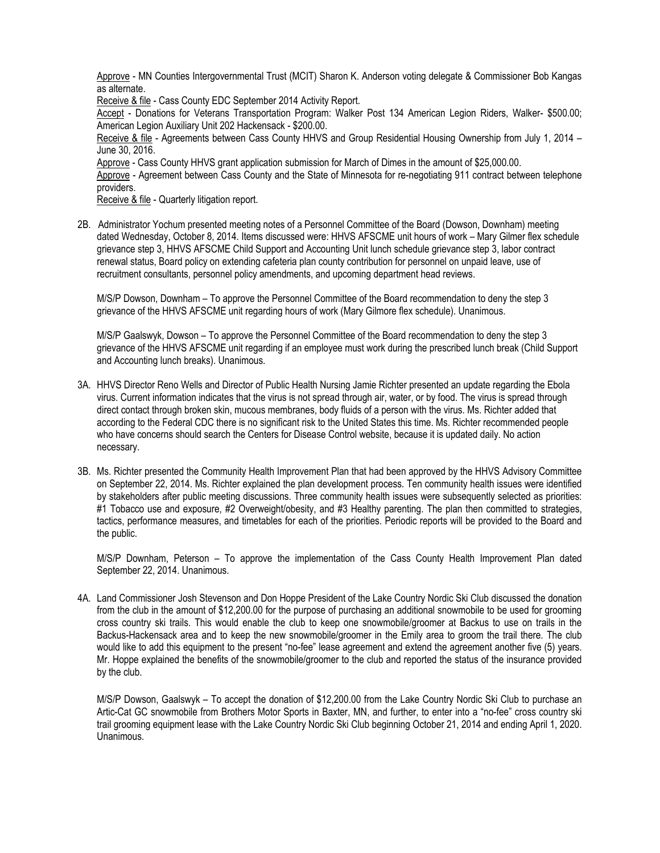Approve - MN Counties Intergovernmental Trust (MCIT) Sharon K. Anderson voting delegate & Commissioner Bob Kangas as alternate.

Receive & file - Cass County EDC September 2014 Activity Report.

Accept - Donations for Veterans Transportation Program: Walker Post 134 American Legion Riders, Walker- \$500.00; American Legion Auxiliary Unit 202 Hackensack - \$200.00.

Receive & file - Agreements between Cass County HHVS and Group Residential Housing Ownership from July 1, 2014 – June 30, 2016.

Approve - Cass County HHVS grant application submission for March of Dimes in the amount of \$25,000.00.

Approve - Agreement between Cass County and the State of Minnesota for re-negotiating 911 contract between telephone providers.

Receive & file - Quarterly litigation report.

2B. Administrator Yochum presented meeting notes of a Personnel Committee of the Board (Dowson, Downham) meeting dated Wednesday, October 8, 2014. Items discussed were: HHVS AFSCME unit hours of work – Mary Gilmer flex schedule grievance step 3, HHVS AFSCME Child Support and Accounting Unit lunch schedule grievance step 3, labor contract renewal status, Board policy on extending cafeteria plan county contribution for personnel on unpaid leave, use of recruitment consultants, personnel policy amendments, and upcoming department head reviews.

M/S/P Dowson, Downham – To approve the Personnel Committee of the Board recommendation to deny the step 3 grievance of the HHVS AFSCME unit regarding hours of work (Mary Gilmore flex schedule). Unanimous.

M/S/P Gaalswyk, Dowson – To approve the Personnel Committee of the Board recommendation to deny the step 3 grievance of the HHVS AFSCME unit regarding if an employee must work during the prescribed lunch break (Child Support and Accounting lunch breaks). Unanimous.

- 3A. HHVS Director Reno Wells and Director of Public Health Nursing Jamie Richter presented an update regarding the Ebola virus. Current information indicates that the virus is not spread through air, water, or by food. The virus is spread through direct contact through broken skin, mucous membranes, body fluids of a person with the virus. Ms. Richter added that according to the Federal CDC there is no significant risk to the United States this time. Ms. Richter recommended people who have concerns should search the Centers for Disease Control website, because it is updated daily. No action necessary.
- 3B. Ms. Richter presented the Community Health Improvement Plan that had been approved by the HHVS Advisory Committee on September 22, 2014. Ms. Richter explained the plan development process. Ten community health issues were identified by stakeholders after public meeting discussions. Three community health issues were subsequently selected as priorities: #1 Tobacco use and exposure, #2 Overweight/obesity, and #3 Healthy parenting. The plan then committed to strategies, tactics, performance measures, and timetables for each of the priorities. Periodic reports will be provided to the Board and the public.

M/S/P Downham, Peterson – To approve the implementation of the Cass County Health Improvement Plan dated September 22, 2014. Unanimous.

4A. Land Commissioner Josh Stevenson and Don Hoppe President of the Lake Country Nordic Ski Club discussed the donation from the club in the amount of \$12,200.00 for the purpose of purchasing an additional snowmobile to be used for grooming cross country ski trails. This would enable the club to keep one snowmobile/groomer at Backus to use on trails in the Backus-Hackensack area and to keep the new snowmobile/groomer in the Emily area to groom the trail there. The club would like to add this equipment to the present "no-fee" lease agreement and extend the agreement another five (5) years. Mr. Hoppe explained the benefits of the snowmobile/groomer to the club and reported the status of the insurance provided by the club.

M/S/P Dowson, Gaalswyk – To accept the donation of \$12,200.00 from the Lake Country Nordic Ski Club to purchase an Artic-Cat GC snowmobile from Brothers Motor Sports in Baxter, MN, and further, to enter into a "no-fee" cross country ski trail grooming equipment lease with the Lake Country Nordic Ski Club beginning October 21, 2014 and ending April 1, 2020. Unanimous.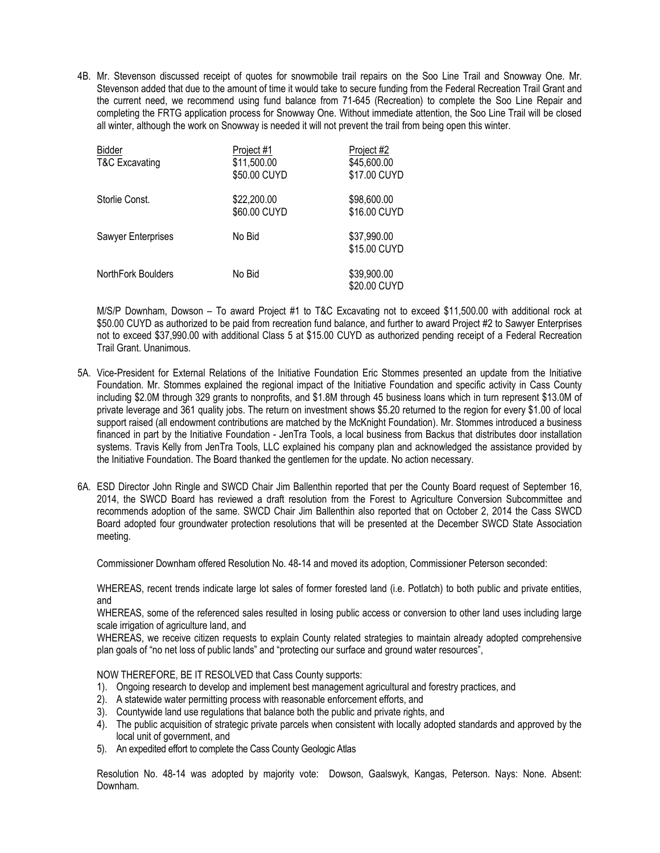4B. Mr. Stevenson discussed receipt of quotes for snowmobile trail repairs on the Soo Line Trail and Snowway One. Mr. Stevenson added that due to the amount of time it would take to secure funding from the Federal Recreation Trail Grant and the current need, we recommend using fund balance from 71-645 (Recreation) to complete the Soo Line Repair and completing the FRTG application process for Snowway One. Without immediate attention, the Soo Line Trail will be closed all winter, although the work on Snowway is needed it will not prevent the trail from being open this winter.

| <b>Bidder</b><br><b>T&amp;C Excavating</b> | Project #1<br>\$11,500.00<br>\$50.00 CUYD | Project #2<br>\$45,600.00<br>\$17.00 CUYD |
|--------------------------------------------|-------------------------------------------|-------------------------------------------|
| Storlie Const.                             | \$22,200.00<br>\$60.00 CUYD               | \$98,600.00<br>\$16.00 CUYD               |
| Sawyer Enterprises                         | No Bid                                    | \$37,990.00<br>\$15.00 CUYD               |
| NorthFork Boulders                         | No Bid                                    | \$39,900.00<br>\$20.00 CUYD               |

M/S/P Downham, Dowson – To award Project #1 to T&C Excavating not to exceed \$11,500.00 with additional rock at \$50.00 CUYD as authorized to be paid from recreation fund balance, and further to award Project #2 to Sawyer Enterprises not to exceed \$37,990.00 with additional Class 5 at \$15.00 CUYD as authorized pending receipt of a Federal Recreation Trail Grant. Unanimous.

- 5A. Vice-President for External Relations of the Initiative Foundation Eric Stommes presented an update from the Initiative Foundation. Mr. Stommes explained the regional impact of the Initiative Foundation and specific activity in Cass County including \$2.0M through 329 grants to nonprofits, and \$1.8M through 45 business loans which in turn represent \$13.0M of private leverage and 361 quality jobs. The return on investment shows \$5.20 returned to the region for every \$1.00 of local support raised (all endowment contributions are matched by the McKnight Foundation). Mr. Stommes introduced a business financed in part by the Initiative Foundation - JenTra Tools, a local business from Backus that distributes door installation systems. Travis Kelly from JenTra Tools, LLC explained his company plan and acknowledged the assistance provided by the Initiative Foundation. The Board thanked the gentlemen for the update. No action necessary.
- 6A. ESD Director John Ringle and SWCD Chair Jim Ballenthin reported that per the County Board request of September 16, 2014, the SWCD Board has reviewed a draft resolution from the Forest to Agriculture Conversion Subcommittee and recommends adoption of the same. SWCD Chair Jim Ballenthin also reported that on October 2, 2014 the Cass SWCD Board adopted four groundwater protection resolutions that will be presented at the December SWCD State Association meeting.

Commissioner Downham offered Resolution No. 48-14 and moved its adoption, Commissioner Peterson seconded:

WHEREAS, recent trends indicate large lot sales of former forested land (i.e. Potlatch) to both public and private entities, and

WHEREAS, some of the referenced sales resulted in losing public access or conversion to other land uses including large scale irrigation of agriculture land, and

WHEREAS, we receive citizen requests to explain County related strategies to maintain already adopted comprehensive plan goals of "no net loss of public lands" and "protecting our surface and ground water resources",

NOW THEREFORE, BE IT RESOLVED that Cass County supports:

- 1). Ongoing research to develop and implement best management agricultural and forestry practices, and
- 2). A statewide water permitting process with reasonable enforcement efforts, and
- 3). Countywide land use regulations that balance both the public and private rights, and
- 4). The public acquisition of strategic private parcels when consistent with locally adopted standards and approved by the local unit of government, and
- 5). An expedited effort to complete the Cass County Geologic Atlas

Resolution No. 48-14 was adopted by majority vote: Dowson, Gaalswyk, Kangas, Peterson. Nays: None. Absent: Downham.